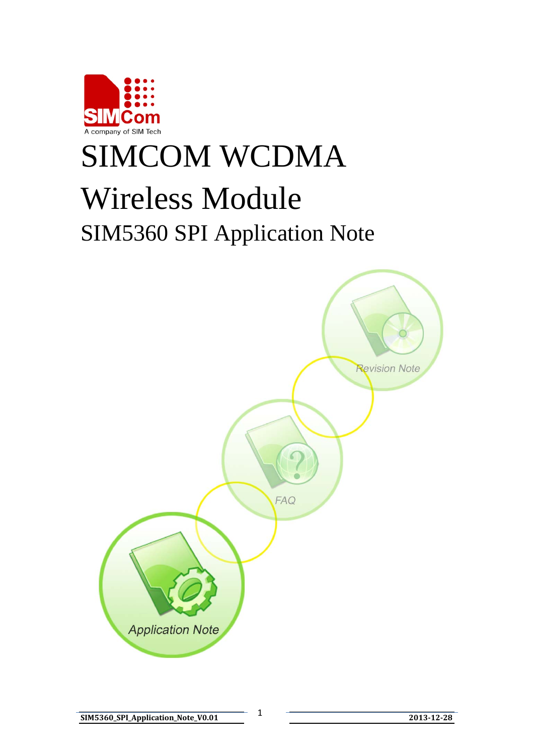

# SIMCOM WCDMA Wireless Module SIM5360 SPI Application Note

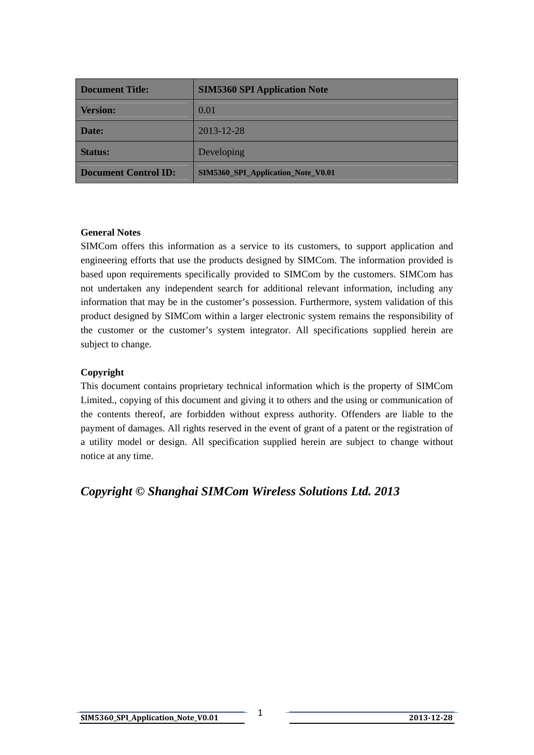| <b>Document Title:</b>      | <b>SIM5360 SPI Application Note</b>       |
|-----------------------------|-------------------------------------------|
| <b>Version:</b>             | 0.01                                      |
| Date:                       | 2013-12-28                                |
| <b>Status:</b>              | Developing                                |
| <b>Document Control ID:</b> | <b>SIM5360 SPI Application Note V0.01</b> |

## **General Notes**

SIMCom offers this information as a service to its customers, to support application and engineering efforts that use the products designed by SIMCom. The information provided is based upon requirements specifically provided to SIMCom by the customers. SIMCom has not undertaken any independent search for additional relevant information, including any information that may be in the customer's possession. Furthermore, system validation of this product designed by SIMCom within a larger electronic system remains the responsibility of the customer or the customer's system integrator. All specifications supplied herein are subject to change.

## **Copyright**

This document contains proprietary technical information which is the property of SIMCom Limited., copying of this document and giving it to others and the using or communication of the contents thereof, are forbidden without express authority. Offenders are liable to the payment of damages. All rights reserved in the event of grant of a patent or the registration of a utility model or design. All specification supplied herein are subject to change without notice at any time.

*Copyright © Shanghai SIMCom Wireless Solutions Ltd. 2013*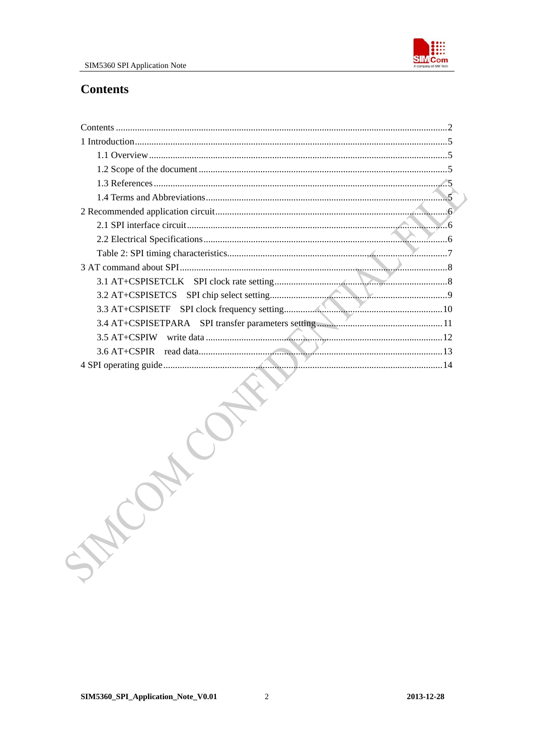

# <span id="page-2-0"></span>**Contents**

| STAT |  |
|------|--|
|      |  |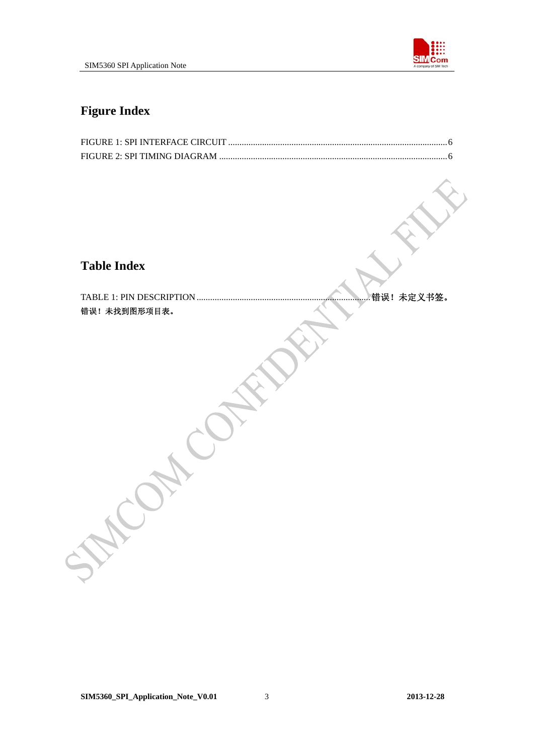

# **Figure Index**

# **Table Index**

TABLE 1: PIN DESCRIPTION .............................................................................错误!未定义书签。 错误!未找到图形项目表。

Control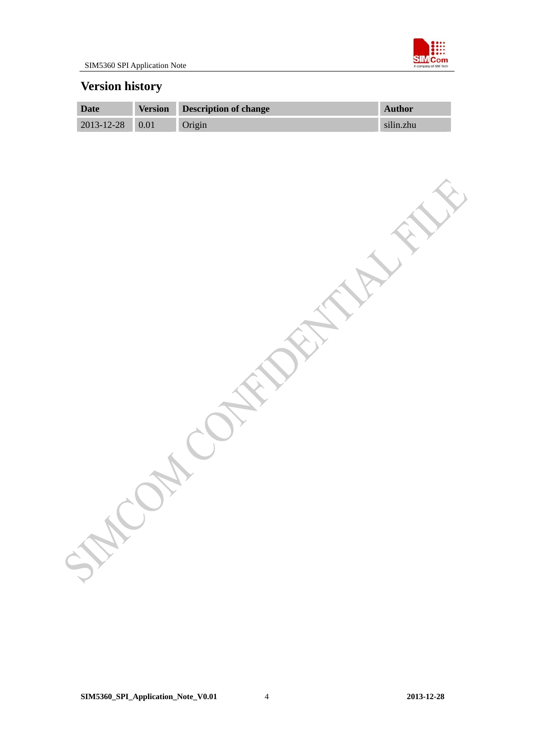

# **Version history**

| Date                  | <b>Version</b> | Description of change | <b>Author</b> |
|-----------------------|----------------|-----------------------|---------------|
| $2013 - 12 - 28$ 0.01 |                | Origin                | silin.zhu     |

CONT CONTRACTANTS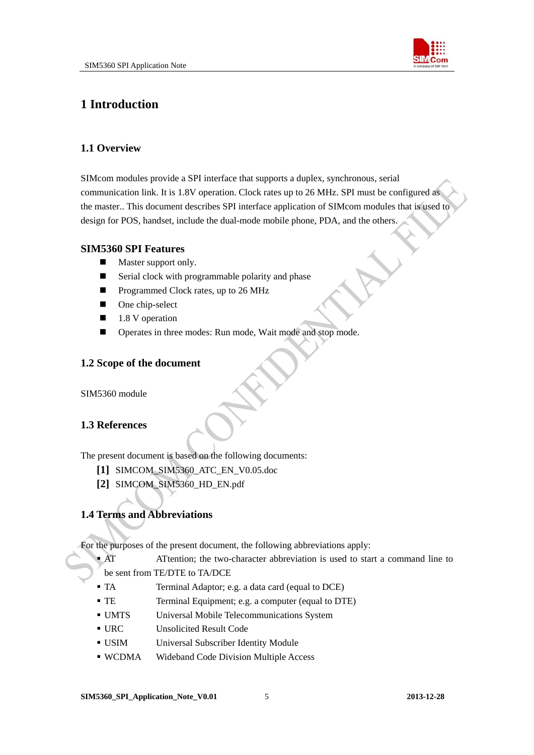

# <span id="page-5-0"></span>**1 Introduction**

# **1.1 Overview**

SIMcom modules provide a SPI interface that supports a duplex, synchronous, serial communication link. It is 1.8V operation. Clock rates up to 26 MHz. SPI must be configured as the master.. This document describes SPI interface application of SIMcom modules that is used to design for POS, handset, include the dual-mode mobile phone, PDA, and the others.

## **SIM5360 SPI Features**

- **Master support only.**
- Serial clock with programmable polarity and phase
- **Programmed Clock rates, up to 26 MHz**
- One chip-select
- $\blacksquare$  1.8 V operation
- Operates in three modes: Run mode, Wait mode and stop mode.

# **1.2 Scope of the document**

SIM5360 module

# **1.3 References**

The present document is based on the following documents:

- **[1]** SIMCOM\_SIM5360\_ATC\_EN\_V0.05.doc
- **[2]** SIMCOM\_SIM5360\_HD\_EN.pdf

# **1.4 Terms and Abbreviations**

For the purposes of the present document, the following abbreviations apply:

- AT ATtention; the two-character abbreviation is used to start a command line to
- be sent from TE/DTE to TA/DCE
- TA Terminal Adaptor; e.g. a data card (equal to DCE)
- TE Terminal Equipment; e.g. a computer (equal to DTE)
- UMTS Universal Mobile Telecommunications System
- URC Unsolicited Result Code
- USIM Universal Subscriber Identity Module
- WCDMA Wideband Code Division Multiple Access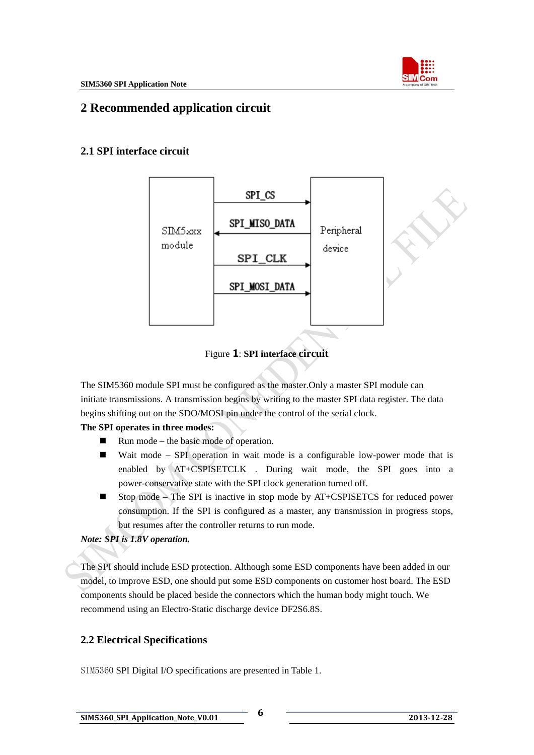

# <span id="page-6-0"></span>**2 Recommended application circuit**

# **2.1 SPI interface circuit**



Figure 1: **SPI interface circuit**

The SIM5360 module SPI must be configured as the master.Only a master SPI module can initiate transmissions. A transmission begins by writing to the master SPI data register. The data begins shifting out on the SDO/MOSI pin under the control of the serial clock.

## **The SPI operates in three modes:**

- $\blacksquare$  Run mode the basic mode of operation.
- Wait mode SPI operation in wait mode is a configurable low-power mode that is enabled by AT+CSPISETCLK . During wait mode, the SPI goes into a power-conservative state with the SPI clock generation turned off.
- Stop mode The SPI is inactive in stop mode by AT+CSPISETCS for reduced power consumption. If the SPI is configured as a master, any transmission in progress stops, but resumes after the controller returns to run mode.

# *Note: SPI is 1.8V operation.*

The SPI should include ESD protection. Although some ESD components have been added in our model, to improve ESD, one should put some ESD components on customer host board. The ESD components should be placed beside the connectors which the human body might touch. We recommend using an Electro-Static discharge device DF2S6.8S.

# **2.2 Electrical Specifications**

SIM5360 SPI Digital I/O specifications are presented in Table 1.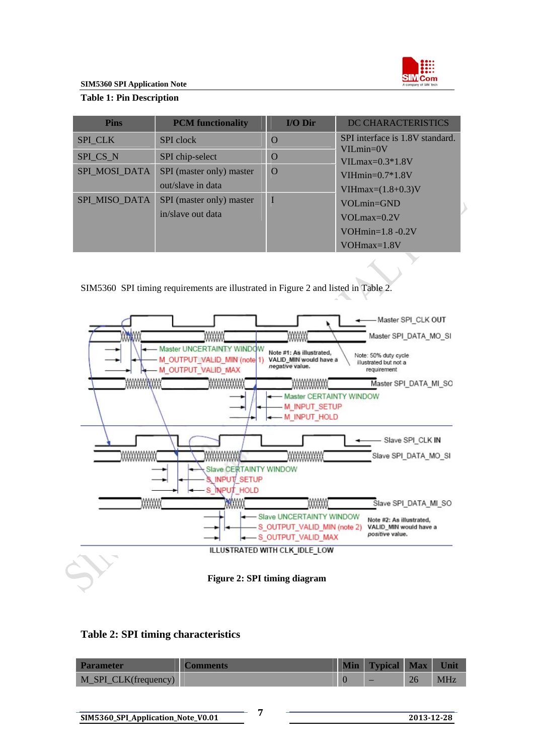

# <span id="page-7-0"></span>**Table 1: Pin Description**

| <b>Pins</b>    | <b>PCM</b> functionality | I/O Dir     | DC CHARACTERISTICS               |
|----------------|--------------------------|-------------|----------------------------------|
| <b>SPI_CLK</b> | <b>SPI</b> clock         | $\Omega$    | SPI interface is 1.8V standard.  |
| SPI_CS_N       | SPI chip-select          | $\Omega$    | $VILmin=0V$<br>$VILmax=0.3*1.8V$ |
| SPI MOSI DATA  | SPI (master only) master | $\Omega$    | $VIHmin=0.7*1.8V$                |
|                | out/slave in data        |             | VIH $max=(1.8+0.3)$ V            |
| SPI_MISO_DATA  | SPI (master only) master | $\mathbf I$ | $VOLmin = GND$                   |
|                | in/slave out data        |             | $VOLmax=0.2V$                    |
|                |                          |             | VOH $min=1.8 - 0.2V$             |
|                |                          |             | $VOHmax=1.8V$                    |

SIM5360 SPI timing requirements are illustrated in Figure 2 and listed in Table 2.



## **Table 2: SPI timing characteristics**

| <b>Parameter</b>     | Comments | <b>Min</b> | <b>Typical</b> | <b>Max</b> | Unit       |
|----------------------|----------|------------|----------------|------------|------------|
| M_SPI_CLK(frequency) |          |            | _              | 26         | <b>MHz</b> |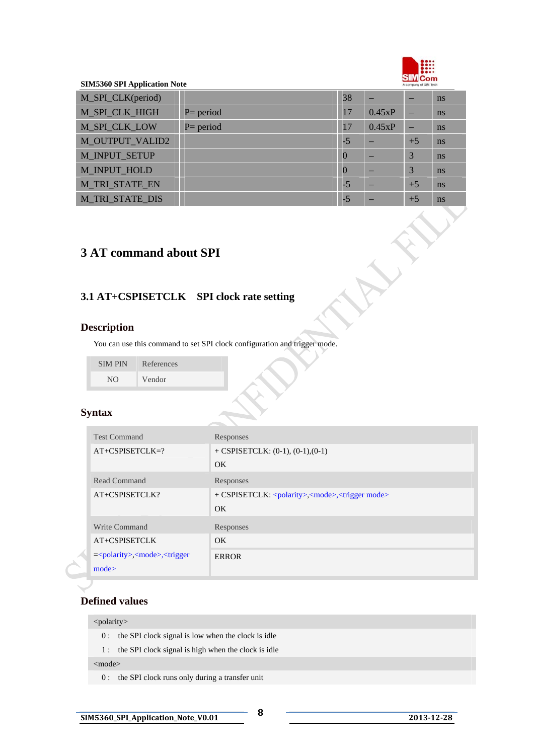

E

 $\mathcal{S}^{\mathbf{\hat{x}}}$ 

### <span id="page-8-0"></span>**SIM5360 SPI Application Note**

| M_SPI_CLK(period)      |              | 38       |        |      | <sub>ns</sub> |
|------------------------|--------------|----------|--------|------|---------------|
| M_SPI_CLK_HIGH         | $P = period$ | 17       | 0.45xP |      | ns            |
| <b>M_SPI_CLK_LOW</b>   | $P = period$ | 17       | 0.45xP | -    | ns            |
| <b>M_OUTPUT_VALID2</b> |              | $-5$     |        | $+5$ | ns            |
| M_INPUT_SETUP          |              | $\Omega$ |        | 3    | ns            |
| M_INPUT_HOLD           |              | $\theta$ |        | 3    | ns            |
| <b>M_TRI_STATE_EN</b>  |              | $-5$     |        | $+5$ | ns            |
| <b>M TRI STATE DIS</b> |              | $-5$     |        | $+5$ | ns            |

# **3 AT command about SPI**

# **3.1 AT+CSPISETCLK SPI clock rate setting**

## **Description**

You can use this command to set SPI clock configuration and trigger mode.

| <b>SIMPIN</b> | References |
|---------------|------------|
| NO.           | Vendor     |

## **Syntax**

| <b>Test Command</b>                                                                    | Responses                                                                     |
|----------------------------------------------------------------------------------------|-------------------------------------------------------------------------------|
| $AT+CSPISETCLK=?$                                                                      | $+$ CSPISETCLK: (0-1), (0-1), (0-1)                                           |
|                                                                                        | OK                                                                            |
| Read Command                                                                           | Responses                                                                     |
| AT+CSPISETCLK?                                                                         | + CSPISETCLK: <polarity>,<mode>,<trigger mode=""></trigger></mode></polarity> |
|                                                                                        | OK                                                                            |
| Write Command                                                                          | Responses                                                                     |
| AT+CSPISETCLK                                                                          | OK.                                                                           |
| = <polarity>,<mode>,<trigger< td=""><td><b>ERROR</b></td></trigger<></mode></polarity> | <b>ERROR</b>                                                                  |
| mode                                                                                   |                                                                               |

## **Defined values**

#### <polarity>

- 0 : the SPI clock signal is low when the clock is idle
- 1 : the SPI clock signal is high when the clock is idle

<mode>

0 : the SPI clock runs only during a transfer unit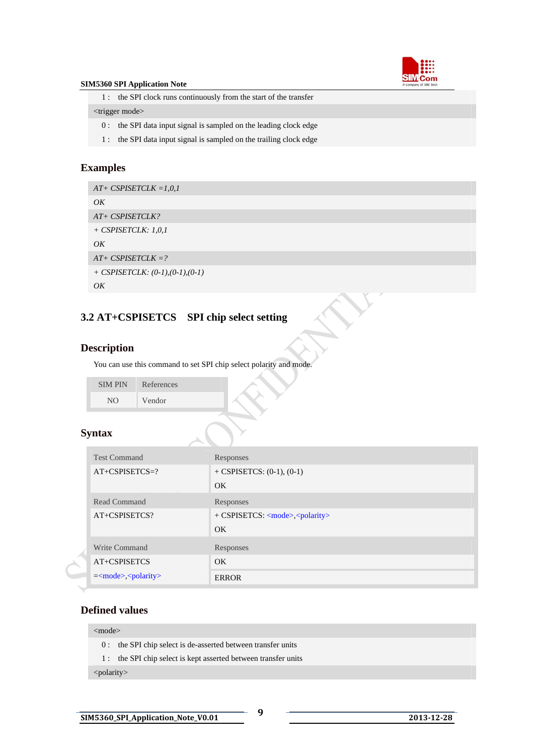

<span id="page-9-0"></span>1 : the SPI clock runs continuously from the start of the transfer

#### <trigger mode>

- 0 : the SPI data input signal is sampled on the leading clock edge
- 1 : the SPI data input signal is sampled on the trailing clock edge

## **Examples**

*AT+ CSPISETCLK =1,0,1 OK AT+ CSPISETCLK? + CSPISETCLK: 1,0,1 OK AT+ CSPISETCLK =? + CSPISETCLK: (0-1),(0-1),(0-1) OK* 

# **3.2 AT+CSPISETCS SPI chip select setting**

## **Description**

You can use this command to set SPI chip select polarity and mode.

| <b>SIMPIN</b> | References |
|---------------|------------|
| NO.           | Vendor     |

## **Syntax**

| <b>Test Command</b>       | Responses                                        |
|---------------------------|--------------------------------------------------|
| $AT+CSPISETCS=?$          | + CSPISETCS: $(0-1)$ , $(0-1)$                   |
|                           | OK.                                              |
| Read Command              | Responses                                        |
| $AT+CSPISETCS$ ?          | + CSPISETCS: <mode>,<polarity></polarity></mode> |
|                           | OK.                                              |
| Write Command             | Responses                                        |
| AT+CSPISETCS              | OK.                                              |
| $=<$ mode>, $<$ polarity> | <b>ERROR</b>                                     |

## **Defined values**

## <mode>

- 0 : the SPI chip select is de-asserted between transfer units
- 1 : the SPI chip select is kept asserted between transfer units

<polarity>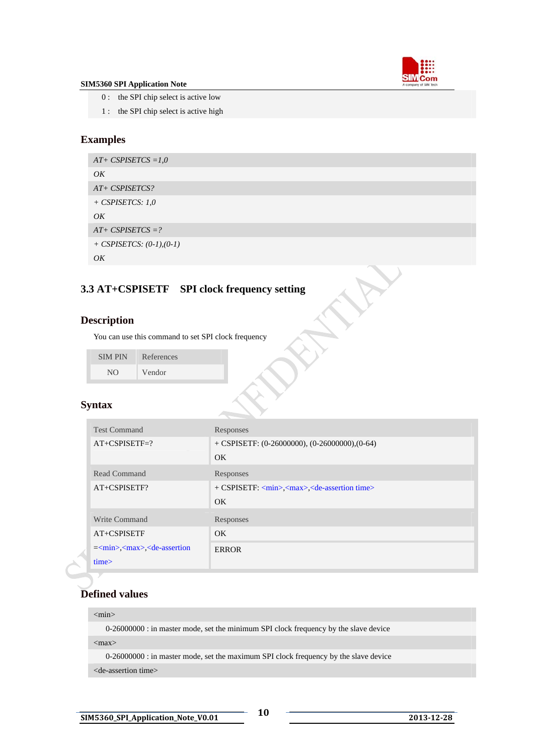

- <span id="page-10-0"></span>0 : the SPI chip select is active low
- 1 : the SPI chip select is active high

# **Examples**

```
AT+ CSPISETCS =1,0 
OK 
AT+ CSPISETCS? 
+ CSPISETCS: 1,0 
OK 
AT+ CSPISETCS =? 
+ CSPISETCS: (0-1),(0-1) 
OK
```
# **3.3 AT+CSPISETF SPI clock frequency setting**

# **Description**

You can use this command to set SPI clock frequency

| <b>SIMPIN</b> | References |
|---------------|------------|
| NΩ            | Vendor     |

## **Syntax**

| <b>Test Command</b>                                                                                                                                                                                                                                                                                        | Responses                                                                 |
|------------------------------------------------------------------------------------------------------------------------------------------------------------------------------------------------------------------------------------------------------------------------------------------------------------|---------------------------------------------------------------------------|
| $AT+CSPISETF=?$                                                                                                                                                                                                                                                                                            | $+$ CSPISETF: (0-26000000), (0-26000000), (0-64)                          |
|                                                                                                                                                                                                                                                                                                            | OK                                                                        |
| Read Command                                                                                                                                                                                                                                                                                               | Responses                                                                 |
| AT+CSPISETF?                                                                                                                                                                                                                                                                                               | + CSPISETF: <min>,<max>,<de-assertion time=""></de-assertion></max></min> |
|                                                                                                                                                                                                                                                                                                            | OK                                                                        |
| Write Command                                                                                                                                                                                                                                                                                              | Responses                                                                 |
| AT+CSPISETF                                                                                                                                                                                                                                                                                                | OK                                                                        |
| $=\frac{1}{2}$ = $\frac{1}{2}$ = $\frac{1}{2}$ = $\frac{1}{2}$ = $\frac{1}{2}$ = $\frac{1}{2}$ = $\frac{1}{2}$ = $\frac{1}{2}$ = $\frac{1}{2}$ = $\frac{1}{2}$ = $\frac{1}{2}$ = $\frac{1}{2}$ = $\frac{1}{2}$ = $\frac{1}{2}$ = $\frac{1}{2}$ = $\frac{1}{2}$ = $\frac{1}{2}$ = $\frac{1}{2}$ = $\frac{1$ | <b>ERROR</b>                                                              |
| time                                                                                                                                                                                                                                                                                                       |                                                                           |

# **Defined values**

#### <min>

0-26000000 : in master mode, set the minimum SPI clock frequency by the slave device

 $<$ max $>$ 

0-26000000 : in master mode, set the maximum SPI clock frequency by the slave device

<de-assertion time>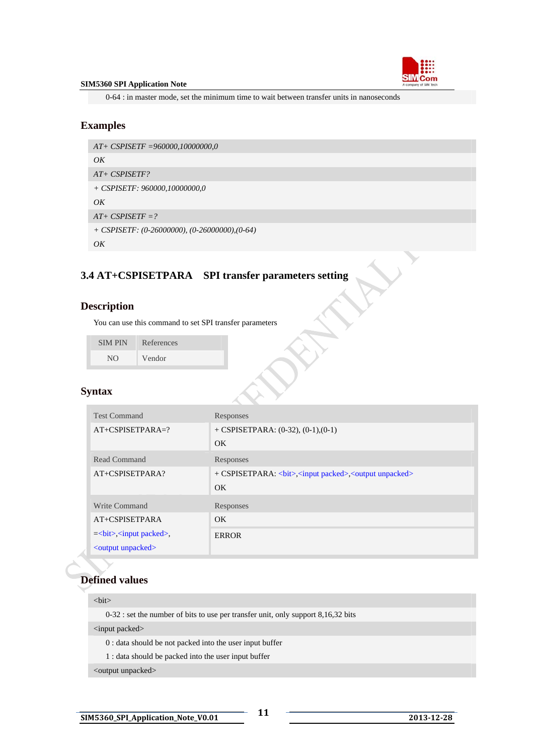

<span id="page-11-0"></span>0-64 : in master mode, set the minimum time to wait between transfer units in nanoseconds

## **Examples**

```
AT+ CSPISETF =960000,10000000,0 
OK 
AT+ CSPISETF? 
+ CSPISETF: 960000,10000000,0 
OK 
AT+ CSPISETF =? 
+ CSPISETF: (0-26000000), (0-26000000),(0-64) 
OK
```
# **3.4 AT+CSPISETPARA SPI transfer parameters setting**

## **Description**

You can use this command to set SPI transfer parameters

SIM PIN References NO Vendor

## **Syntax**

| <b>Test Command</b>                         | Responses                             |
|---------------------------------------------|---------------------------------------|
| $AT+CSPISETPARA=?$                          | $+$ CSPISETPARA: (0-32), (0-1), (0-1) |
|                                             | OK.                                   |
| Read Command                                | Responses                             |
| AT+CSPISETPARA?                             |                                       |
|                                             | OK                                    |
| Write Command                               | Responses                             |
| AT+CSPISETPARA                              | OK                                    |
| $=<\!\!bit\!\!><\!\!input$ packed $\!\!>$ , | <b>ERROR</b>                          |
| <output unpacked=""></output>               |                                       |

# **Defined values**

#### <bit>

0-32 : set the number of bits to use per transfer unit, only support 8,16,32 bits

#### <input packed>

0 : data should be not packed into the user input buffer

1 : data should be packed into the user input buffer

<output unpacked>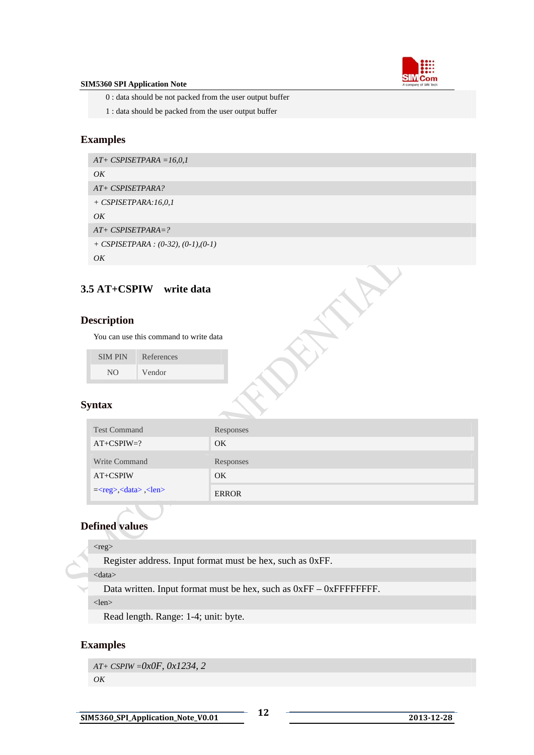

<span id="page-12-0"></span>0 : data should be not packed from the user output buffer

1 : data should be packed from the user output buffer

# **Examples**

```
AT+ CSPISETPARA =16,0,1 
OK 
AT+ CSPISETPARA? 
+ CSPISETPARA:16,0,1 
OK 
AT+ CSPISETPARA=? 
+ CSPISETPARA : (0-32), (0-1),(0-1) 
OK
```
# **3.5 AT+CSPIW write data**

## **Description**

You can use this command to write data

| <b>SIMPIN</b> | References |
|---------------|------------|
| NO.           | Vendor     |

# **Syntax**

| <b>Test Command</b>                                | Responses    |
|----------------------------------------------------|--------------|
| $AT+CSPIW=?$                                       | OK.          |
| Write Command                                      | Responses    |
| AT+CSPIW                                           | <b>OK</b>    |
| $=<\text{reg}>$ , $<\text{data}>$ , $<\text{len}>$ | <b>ERROR</b> |

# **Defined values**

## $<$ reg $>$

Register address. Input format must be hex, such as 0xFF.

<data>

Data written. Input format must be hex, such as 0xFF – 0xFFFFFFFF.

<len>

Read length. Range: 1-4; unit: byte.

# **Examples**

*AT+ CSPIW =0x0F, 0x1234, 2 OK*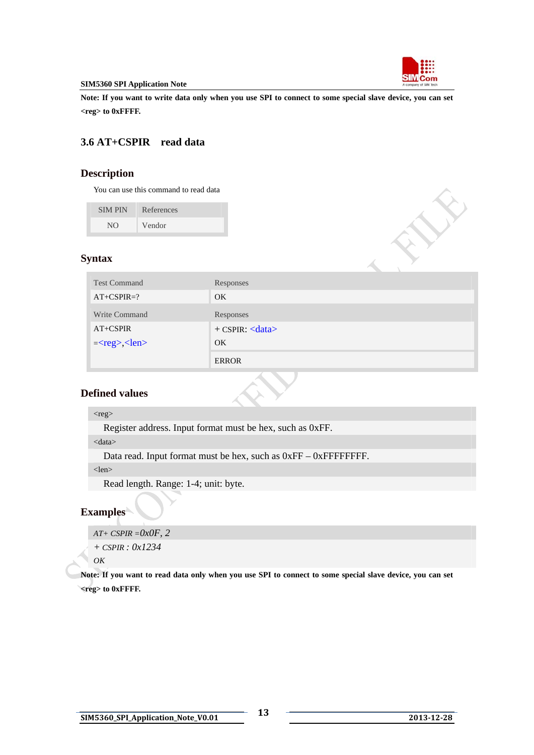

<span id="page-13-0"></span>**Note: If you want to write data only when you use SPI to connect to some special slave device, you can set <reg> to 0xFFFF.** 

# **3.6 AT+CSPIR read data**

# **Description**

You can use this command to read data

| <b>SIMPIN</b> | References |
|---------------|------------|
| NΩ            | Vendor     |

## **Syntax**

| <b>Test Command</b> | Responses            |
|---------------------|----------------------|
| $AT+CSPIR=?$        | OK.                  |
| Write Command       | Responses            |
| $AT+CSPIR$          | $+$ CSPIR: $<$ data> |
| $=<$ reg>, $<$ len> | OK.                  |
|                     | <b>ERROR</b>         |

# **Defined values**

#### <reg>

Register address. Input format must be hex, such as 0xFF.

#### <data>

Data read. Input format must be hex, such as  $0xFF - 0xFFFFFFFF$ .

<len>

Read length. Range: 1-4; unit: byte.

# **Examples**

*AT+ CSPIR =0x0F, 2* 

*+ CSPIR : 0x1234*

## *OK*

**Note: If you want to read data only when you use SPI to connect to some special slave device, you can set <reg> to 0xFFFF.**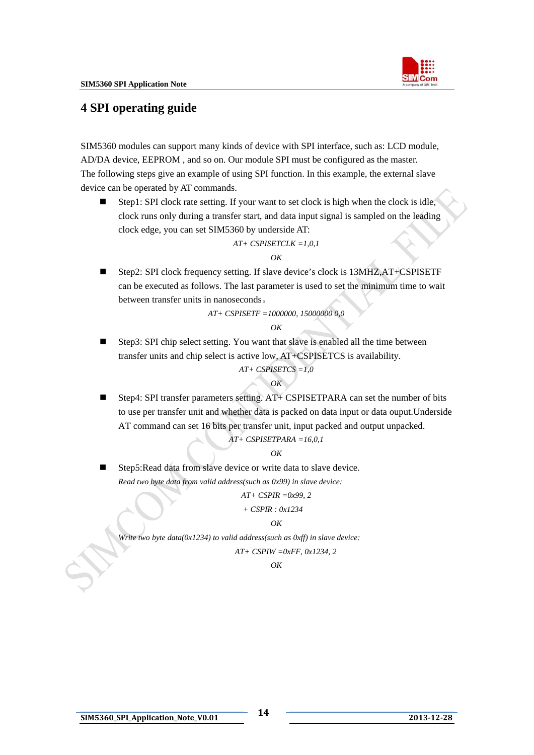

# <span id="page-14-0"></span>**4 SPI operating guide**

SIM5360 modules can support many kinds of device with SPI interface, such as: LCD module, AD/DA device, EEPROM , and so on. Our module SPI must be configured as the master. The following steps give an example of using SPI function. In this example, the external slave device can be operated by AT commands.

Step1: SPI clock rate setting. If your want to set clock is high when the clock is idle, clock runs only during a transfer start, and data input signal is sampled on the leading clock edge, you can set SIM5360 by underside AT:

*AT+ CSPISETCLK =1,0,1* 

### *OK*

■ Step2: SPI clock frequency setting. If slave device's clock is 13MHZ,AT+CSPISETF can be executed as follows. The last parameter is used to set the minimum time to wait between transfer units in nanoseconds。

*AT+ CSPISETF =1000000, 15000000 0,0* 

#### *OK*

■ Step3: SPI chip select setting. You want that slave is enabled all the time between transfer units and chip select is active low, AT+CSPISETCS is availability.

*AT+ CSPISETCS =1,0* 

## *OK*

Step4: SPI transfer parameters setting.  $AT+$  CSPISETPARA can set the number of bits to use per transfer unit and whether data is packed on data input or data ouput.Underside AT command can set 16 bits per transfer unit, input packed and output unpacked.

*AT+ CSPISETPARA =16,0,1* 

#### *OK*

 Step5:Read data from slave device or write data to slave device. *Read two byte data from valid address(such as 0x99) in slave device:* 

*AT+ CSPIR =0x99, 2* 

 *+ CSPIR : 0x1234* 

#### *OK*

*Write two byte data(0x1234) to valid address(such as 0xff) in slave device: AT+ CSPIW =0xFF, 0x1234, 2* 

*OK*